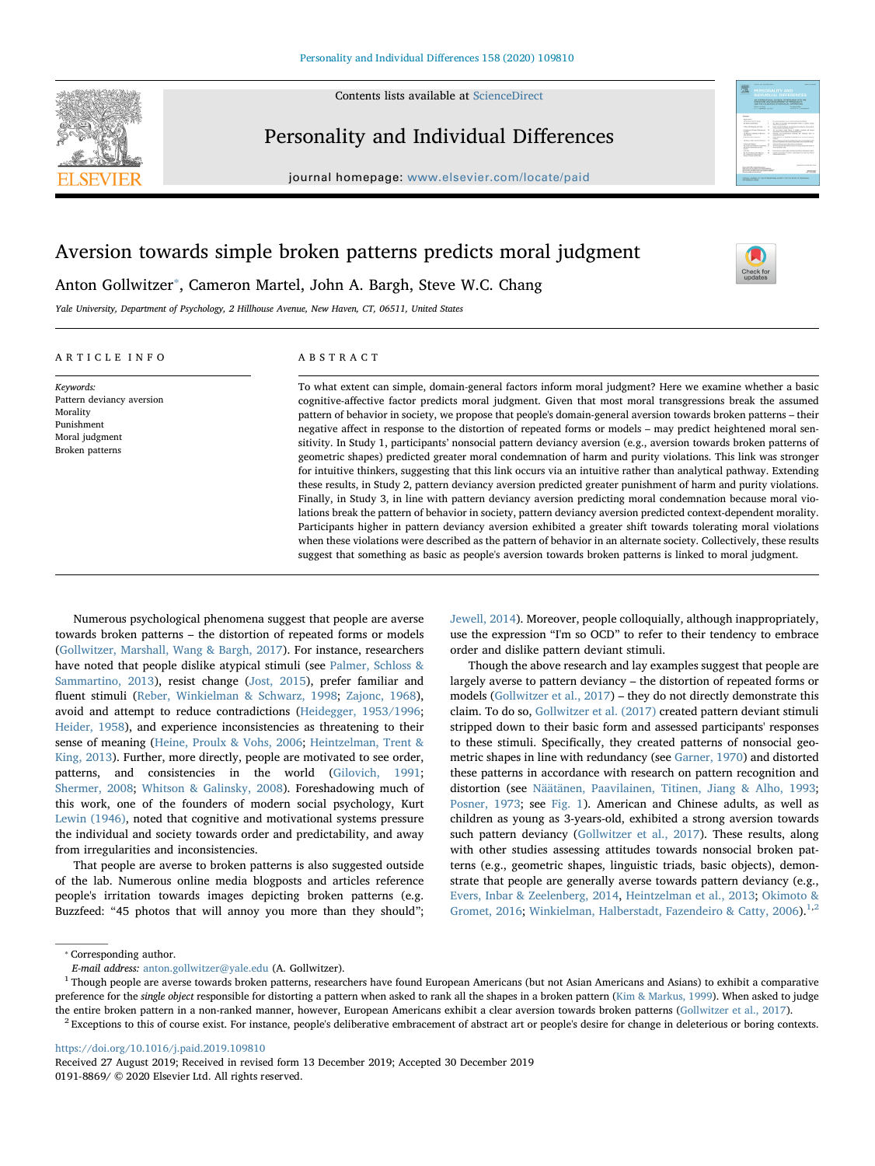

Contents lists available at [ScienceDirect](http://www.sciencedirect.com/science/journal/01918869)

# Personality and Individual Differences

journal homepage: [www.elsevier.com/locate/paid](https://www.elsevier.com/locate/paid)



# Aversion towards simple broken patterns predicts moral judgment



Yale University, Department of Psychology, 2 Hillhouse Avenue, New Haven, CT, 06511, United States

Anton Gollwitzer<sup>\*</sup>, Cameron Martel, John A. Bargh, Steve W.C. Chang

## ARTICLE INFO

Keywords: Pattern deviancy aversion Morality Punishment Moral judgment Broken patterns

## ABSTRACT

To what extent can simple, domain-general factors inform moral judgment? Here we examine whether a basic cognitive-affective factor predicts moral judgment. Given that most moral transgressions break the assumed pattern of behavior in society, we propose that people's domain-general aversion towards broken patterns – their negative affect in response to the distortion of repeated forms or models – may predict heightened moral sensitivity. In Study 1, participants' nonsocial pattern deviancy aversion (e.g., aversion towards broken patterns of geometric shapes) predicted greater moral condemnation of harm and purity violations. This link was stronger for intuitive thinkers, suggesting that this link occurs via an intuitive rather than analytical pathway. Extending these results, in Study 2, pattern deviancy aversion predicted greater punishment of harm and purity violations. Finally, in Study 3, in line with pattern deviancy aversion predicting moral condemnation because moral violations break the pattern of behavior in society, pattern deviancy aversion predicted context-dependent morality. Participants higher in pattern deviancy aversion exhibited a greater shift towards tolerating moral violations when these violations were described as the pattern of behavior in an alternate society. Collectively, these results suggest that something as basic as people's aversion towards broken patterns is linked to moral judgment.

Numerous psychological phenomena suggest that people are averse towards broken patterns – the distortion of repeated forms or models ([Gollwitzer, Marshall, Wang & Bargh, 2017\)](#page-8-0). For instance, researchers have noted that people dislike atypical stimuli (see [Palmer, Schloss &](#page-9-0) [Sammartino, 2013](#page-9-0)), resist change ([Jost, 2015](#page-9-1)), prefer familiar and fluent stimuli [\(Reber, Winkielman & Schwarz, 1998;](#page-9-2) [Zajonc, 1968](#page-9-3)), avoid and attempt to reduce contradictions [\(Heidegger, 1953/1996](#page-9-4); [Heider, 1958\)](#page-9-5), and experience inconsistencies as threatening to their sense of meaning [\(Heine, Proulx & Vohs, 2006](#page-9-6); [Heintzelman, Trent &](#page-9-7) [King, 2013](#page-9-7)). Further, more directly, people are motivated to see order, patterns, and consistencies in the world ([Gilovich, 1991](#page-8-1); [Shermer, 2008;](#page-9-8) [Whitson & Galinsky, 2008\)](#page-9-9). Foreshadowing much of this work, one of the founders of modern social psychology, Kurt [Lewin \(1946\),](#page-9-10) noted that cognitive and motivational systems pressure the individual and society towards order and predictability, and away from irregularities and inconsistencies.

That people are averse to broken patterns is also suggested outside of the lab. Numerous online media blogposts and articles reference people's irritation towards images depicting broken patterns (e.g. Buzzfeed: "45 photos that will annoy you more than they should";

[Jewell, 2014](#page-9-11)). Moreover, people colloquially, although inappropriately, use the expression "I'm so OCD" to refer to their tendency to embrace order and dislike pattern deviant stimuli.

Though the above research and lay examples suggest that people are largely averse to pattern deviancy – the distortion of repeated forms or models ([Gollwitzer et al., 2017\)](#page-8-0) – they do not directly demonstrate this claim. To do so, [Gollwitzer et al. \(2017\)](#page-8-0) created pattern deviant stimuli stripped down to their basic form and assessed participants' responses to these stimuli. Specifically, they created patterns of nonsocial geometric shapes in line with redundancy (see [Garner, 1970\)](#page-8-2) and distorted these patterns in accordance with research on pattern recognition and distortion (see [Näätänen, Paavilainen, Titinen, Jiang & Alho, 1993](#page-9-12); [Posner, 1973](#page-9-13); see [Fig. 1](#page-1-0)). American and Chinese adults, as well as children as young as 3-years-old, exhibited a strong aversion towards such pattern deviancy ([Gollwitzer et al., 2017\)](#page-8-0). These results, along with other studies assessing attitudes towards nonsocial broken patterns (e.g., geometric shapes, linguistic triads, basic objects), demonstrate that people are generally averse towards pattern deviancy (e.g., [Evers, Inbar & Zeelenberg, 2014](#page-8-3), [Heintzelman et al., 2013](#page-9-7); [Okimoto &](#page-9-14) [Gromet, 2016;](#page-9-14) [Winkielman, Halberstadt, Fazendeiro & Catty, 2006](#page-9-15)).<sup>[1,](#page-0-1)[2](#page-0-2)</sup>

<span id="page-0-2"></span><https://doi.org/10.1016/j.paid.2019.109810>

<span id="page-0-0"></span><sup>⁎</sup> Corresponding author.

E-mail address: [anton.gollwitzer@yale.edu](mailto:anton.gollwitzer@yale.edu) (A. Gollwitzer).

<span id="page-0-1"></span><sup>&</sup>lt;sup>1</sup> Though people are averse towards broken patterns, researchers have found European Americans (but not Asian Americans and Asians) to exhibit a comparative preference for the single object responsible for distorting a pattern when asked to rank all the shapes in a broken pattern ([Kim & Markus, 1999](#page-9-16)). When asked to judge the entire broken pattern in a non-ranked manner, however, European Americans exhibit a clear aversion towards broken patterns [\(Gollwitzer et al., 2017](#page-8-0)).  $^2$  Exceptions to this of course exist. For instance, people's deliberative embracement of abstract art or people's desire for change in deleterious or boring contexts.

Received 27 August 2019; Received in revised form 13 December 2019; Accepted 30 December 2019 0191-8869/ © 2020 Elsevier Ltd. All rights reserved.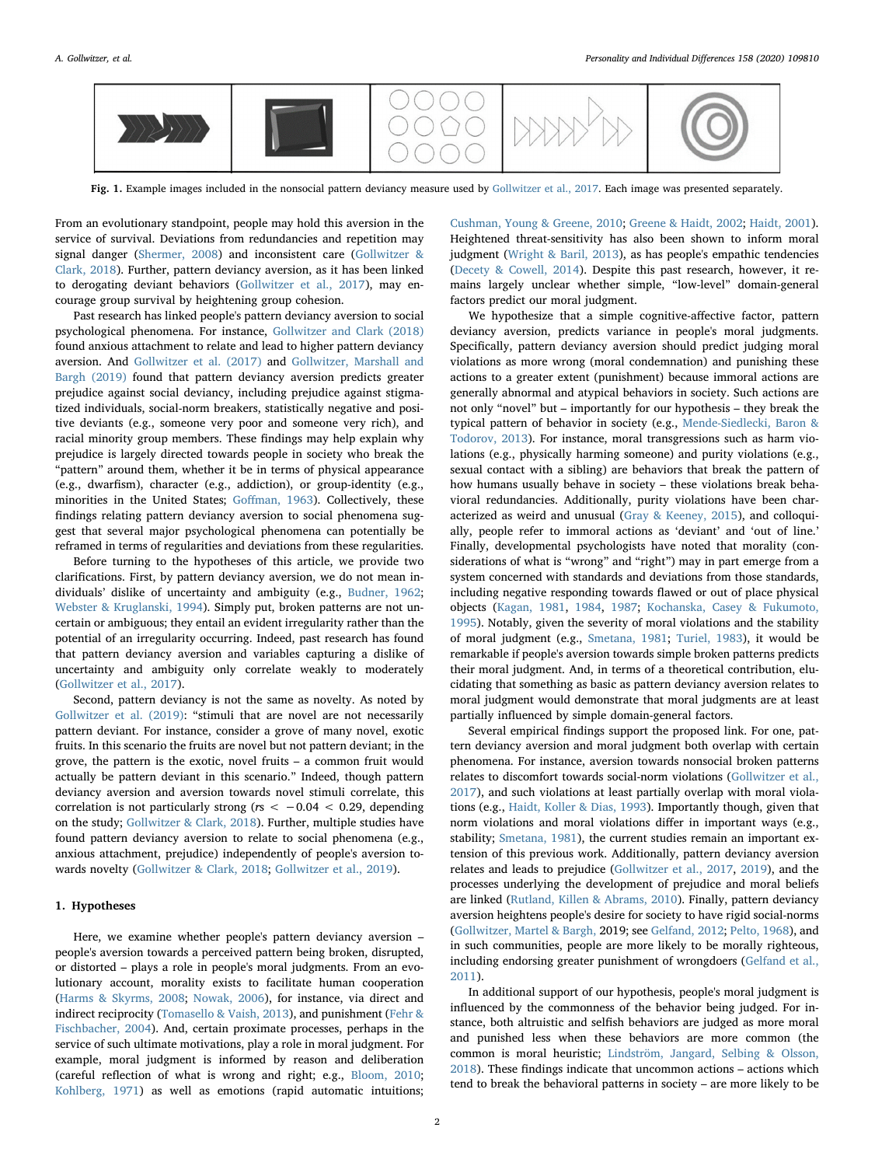<span id="page-1-0"></span>

Fig. 1. Example images included in the nonsocial pattern deviancy measure used by [Gollwitzer et al., 2017.](#page-8-0) Each image was presented separately.

From an evolutionary standpoint, people may hold this aversion in the service of survival. Deviations from redundancies and repetition may signal danger [\(Shermer, 2008](#page-9-8)) and inconsistent care [\(Gollwitzer &](#page-8-4) [Clark, 2018](#page-8-4)). Further, pattern deviancy aversion, as it has been linked to derogating deviant behaviors ([Gollwitzer et al., 2017\)](#page-8-0), may encourage group survival by heightening group cohesion.

Past research has linked people's pattern deviancy aversion to social psychological phenomena. For instance, [Gollwitzer and Clark \(2018\)](#page-8-4) found anxious attachment to relate and lead to higher pattern deviancy aversion. And [Gollwitzer et al. \(2017\)](#page-8-0) and [Gollwitzer, Marshall and](#page-8-5) [Bargh \(2019\)](#page-8-5) found that pattern deviancy aversion predicts greater prejudice against social deviancy, including prejudice against stigmatized individuals, social-norm breakers, statistically negative and positive deviants (e.g., someone very poor and someone very rich), and racial minority group members. These findings may help explain why prejudice is largely directed towards people in society who break the "pattern" around them, whether it be in terms of physical appearance (e.g., dwarfism), character (e.g., addiction), or group-identity (e.g., minorities in the United States; Goff[man, 1963](#page-8-6)). Collectively, these findings relating pattern deviancy aversion to social phenomena suggest that several major psychological phenomena can potentially be reframed in terms of regularities and deviations from these regularities.

Before turning to the hypotheses of this article, we provide two clarifications. First, by pattern deviancy aversion, we do not mean individuals' dislike of uncertainty and ambiguity (e.g., [Budner, 1962](#page-8-7); [Webster & Kruglanski, 1994](#page-9-17)). Simply put, broken patterns are not uncertain or ambiguous; they entail an evident irregularity rather than the potential of an irregularity occurring. Indeed, past research has found that pattern deviancy aversion and variables capturing a dislike of uncertainty and ambiguity only correlate weakly to moderately ([Gollwitzer et al., 2017\)](#page-8-0).

Second, pattern deviancy is not the same as novelty. As noted by [Gollwitzer et al. \(2019\)](#page-8-5): "stimuli that are novel are not necessarily pattern deviant. For instance, consider a grove of many novel, exotic fruits. In this scenario the fruits are novel but not pattern deviant; in the grove, the pattern is the exotic, novel fruits – a common fruit would actually be pattern deviant in this scenario." Indeed, though pattern deviancy aversion and aversion towards novel stimuli correlate, this correlation is not particularly strong ( $rs < -0.04 < 0.29$ , depending on the study; [Gollwitzer & Clark, 2018\)](#page-8-4). Further, multiple studies have found pattern deviancy aversion to relate to social phenomena (e.g., anxious attachment, prejudice) independently of people's aversion towards novelty [\(Gollwitzer & Clark, 2018](#page-8-4); [Gollwitzer et al., 2019](#page-8-5)).

## 1. Hypotheses

Here, we examine whether people's pattern deviancy aversion – people's aversion towards a perceived pattern being broken, disrupted, or distorted – plays a role in people's moral judgments. From an evolutionary account, morality exists to facilitate human cooperation ([Harms & Skyrms, 2008;](#page-9-18) [Nowak,](#page-9-19) 2006), for instance, via direct and indirect reciprocity ([Tomasello & Vaish, 2013\)](#page-9-20), and punishment [\(Fehr &](#page-8-8) [Fischbacher, 2004](#page-8-8)). And, certain proximate processes, perhaps in the service of such ultimate motivations, play a role in moral judgment. For example, moral judgment is informed by reason and deliberation (careful reflection of what is wrong and right; e.g., [Bloom, 2010](#page-8-9); [Kohlberg, 1971\)](#page-9-21) as well as emotions (rapid automatic intuitions;

[Cushman, Young & Greene, 2010](#page-8-10); [Greene & Haidt, 2002;](#page-9-22) [Haidt, 2001](#page-9-23)). Heightened threat-sensitivity has also been shown to inform moral judgment ([Wright & Baril, 2013](#page-9-24)), as has people's empathic tendencies ([Decety & Cowell, 2014\)](#page-8-11). Despite this past research, however, it remains largely unclear whether simple, "low-level" domain-general factors predict our moral judgment.

We hypothesize that a simple cognitive-affective factor, pattern deviancy aversion, predicts variance in people's moral judgments. Specifically, pattern deviancy aversion should predict judging moral violations as more wrong (moral condemnation) and punishing these actions to a greater extent (punishment) because immoral actions are generally abnormal and atypical behaviors in society. Such actions are not only "novel" but – importantly for our hypothesis – they break the typical pattern of behavior in society (e.g., [Mende-Siedlecki, Baron &](#page-9-25) [Todorov, 2013](#page-9-25)). For instance, moral transgressions such as harm violations (e.g., physically harming someone) and purity violations (e.g., sexual contact with a sibling) are behaviors that break the pattern of how humans usually behave in society – these violations break behavioral redundancies. Additionally, purity violations have been characterized as weird and unusual ([Gray & Keeney, 2015](#page-9-26)), and colloquially, people refer to immoral actions as 'deviant' and 'out of line.' Finally, developmental psychologists have noted that morality (considerations of what is "wrong" and "right") may in part emerge from a system concerned with standards and deviations from those standards, including negative responding towards flawed or out of place physical objects ([Kagan, 1981](#page-9-27), [1984](#page-9-28), [1987](#page-9-29); [Kochanska, Casey & Fukumoto,](#page-9-30) [1995\)](#page-9-30). Notably, given the severity of moral violations and the stability of moral judgment (e.g., [Smetana, 1981;](#page-9-31) [Turiel, 1983\)](#page-9-32), it would be remarkable if people's aversion towards simple broken patterns predicts their moral judgment. And, in terms of a theoretical contribution, elucidating that something as basic as pattern deviancy aversion relates to moral judgment would demonstrate that moral judgments are at least partially influenced by simple domain-general factors.

Several empirical findings support the proposed link. For one, pattern deviancy aversion and moral judgment both overlap with certain phenomena. For instance, aversion towards nonsocial broken patterns relates to discomfort towards social-norm violations ([Gollwitzer et al.,](#page-8-0) [2017\)](#page-8-0), and such violations at least partially overlap with moral violations (e.g., [Haidt, Koller & Dias, 1993](#page-9-33)). Importantly though, given that norm violations and moral violations differ in important ways (e.g., stability; [Smetana, 1981](#page-9-31)), the current studies remain an important extension of this previous work. Additionally, pattern deviancy aversion relates and leads to prejudice [\(Gollwitzer et al., 2017](#page-8-0), [2019](#page-8-5)), and the processes underlying the development of prejudice and moral beliefs are linked ([Rutland, Killen & Abrams, 2010](#page-9-34)). Finally, pattern deviancy aversion heightens people's desire for society to have rigid social-norms ([Gollwitzer, Martel & Bargh,](#page-9-35) 2019; see [Gelfand, 2012](#page-8-12); [Pelto, 1968](#page-9-36)), and in such communities, people are more likely to be morally righteous, including endorsing greater punishment of wrongdoers ([Gelfand et al.,](#page-8-13) [2011\)](#page-8-13).

In additional support of our hypothesis, people's moral judgment is influenced by the commonness of the behavior being judged. For instance, both altruistic and selfish behaviors are judged as more moral and punished less when these behaviors are more common (the common is moral heuristic; [Lindström, Jangard, Selbing & Olsson,](#page-9-37) [2018\)](#page-9-37). These findings indicate that uncommon actions – actions which tend to break the behavioral patterns in society – are more likely to be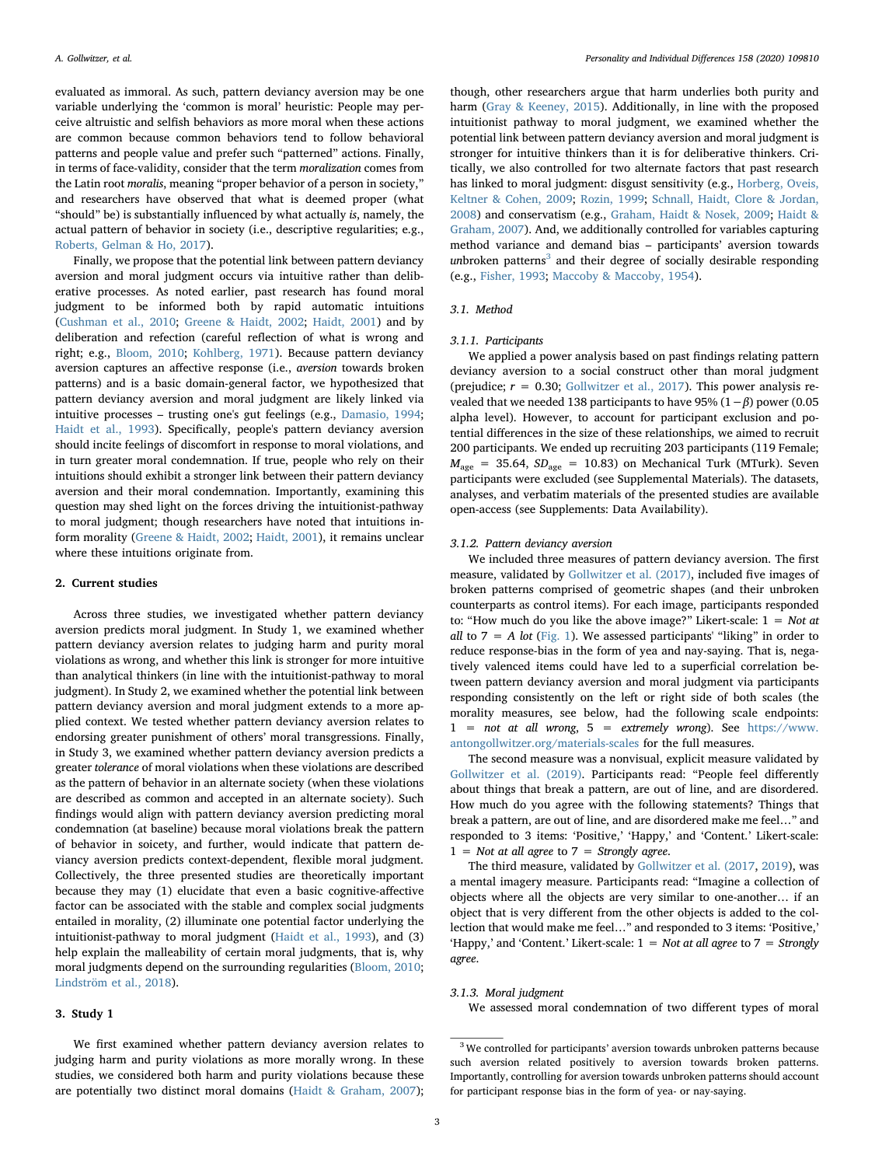evaluated as immoral. As such, pattern deviancy aversion may be one variable underlying the 'common is moral' heuristic: People may perceive altruistic and selfish behaviors as more moral when these actions are common because common behaviors tend to follow behavioral patterns and people value and prefer such "patterned" actions. Finally, in terms of face-validity, consider that the term moralization comes from the Latin root moralis, meaning "proper behavior of a person in society," and researchers have observed that what is deemed proper (what "should" be) is substantially influenced by what actually is, namely, the actual pattern of behavior in society (i.e., descriptive regularities; e.g., [Roberts, Gelman & Ho, 2017](#page-9-38)).

Finally, we propose that the potential link between pattern deviancy aversion and moral judgment occurs via intuitive rather than deliberative processes. As noted earlier, past research has found moral judgment to be informed both by rapid automatic intuitions ([Cushman et al., 2010;](#page-8-10) [Greene & Haidt, 2002](#page-9-22); [Haidt, 2001\)](#page-9-23) and by deliberation and refection (careful reflection of what is wrong and right; e.g., [Bloom, 2010](#page-8-9); [Kohlberg, 1971](#page-9-21)). Because pattern deviancy aversion captures an affective response (i.e., aversion towards broken patterns) and is a basic domain-general factor, we hypothesized that pattern deviancy aversion and moral judgment are likely linked via intuitive processes – trusting one's gut feelings (e.g., [Damasio, 1994](#page-8-14); [Haidt et al., 1993](#page-9-33)). Specifically, people's pattern deviancy aversion should incite feelings of discomfort in response to moral violations, and in turn greater moral condemnation. If true, people who rely on their intuitions should exhibit a stronger link between their pattern deviancy aversion and their moral condemnation. Importantly, examining this question may shed light on the forces driving the intuitionist-pathway to moral judgment; though researchers have noted that intuitions inform morality [\(Greene & Haidt, 2002;](#page-9-22) [Haidt, 2001\)](#page-9-23), it remains unclear where these intuitions originate from.

## 2. Current studies

Across three studies, we investigated whether pattern deviancy aversion predicts moral judgment. In Study 1, we examined whether pattern deviancy aversion relates to judging harm and purity moral violations as wrong, and whether this link is stronger for more intuitive than analytical thinkers (in line with the intuitionist-pathway to moral judgment). In Study 2, we examined whether the potential link between pattern deviancy aversion and moral judgment extends to a more applied context. We tested whether pattern deviancy aversion relates to endorsing greater punishment of others' moral transgressions. Finally, in Study 3, we examined whether pattern deviancy aversion predicts a greater tolerance of moral violations when these violations are described as the pattern of behavior in an alternate society (when these violations are described as common and accepted in an alternate society). Such findings would align with pattern deviancy aversion predicting moral condemnation (at baseline) because moral violations break the pattern of behavior in soicety, and further, would indicate that pattern deviancy aversion predicts context-dependent, flexible moral judgment. Collectively, the three presented studies are theoretically important because they may (1) elucidate that even a basic cognitive-affective factor can be associated with the stable and complex social judgments entailed in morality, (2) illuminate one potential factor underlying the intuitionist-pathway to moral judgment [\(Haidt et al., 1993\)](#page-9-33), and (3) help explain the malleability of certain moral judgments, that is, why moral judgments depend on the surrounding regularities ([Bloom, 2010](#page-8-9); [Lindström et al., 2018\)](#page-9-37).

#### 3. Study 1

We first examined whether pattern deviancy aversion relates to judging harm and purity violations as more morally wrong. In these studies, we considered both harm and purity violations because these are potentially two distinct moral domains ([Haidt & Graham, 2007](#page-9-39));

though, other researchers argue that harm underlies both purity and harm [\(Gray & Keeney, 2015\)](#page-9-26). Additionally, in line with the proposed intuitionist pathway to moral judgment, we examined whether the potential link between pattern deviancy aversion and moral judgment is stronger for intuitive thinkers than it is for deliberative thinkers. Critically, we also controlled for two alternate factors that past research has linked to moral judgment: disgust sensitivity (e.g., [Horberg, Oveis,](#page-9-40) [Keltner & Cohen, 2009;](#page-9-40) [Rozin, 1999;](#page-9-41) [Schnall, Haidt, Clore & Jordan,](#page-9-42) [2008\)](#page-9-42) and conservatism (e.g., [Graham, Haidt & Nosek, 2009;](#page-9-43) [Haidt &](#page-9-39) [Graham, 2007\)](#page-9-39). And, we additionally controlled for variables capturing method variance and demand bias – participants' aversion towards unbroken patterns<sup>[3](#page-2-0)</sup> and their degree of socially desirable responding (e.g., [Fisher, 1993](#page-8-15); [Maccoby & Maccoby, 1954\)](#page-9-44).

#### 3.1. Method

#### 3.1.1. Participants

We applied a power analysis based on past findings relating pattern deviancy aversion to a social construct other than moral judgment (prejudice;  $r = 0.30$ ; [Gollwitzer et al., 2017](#page-8-0)). This power analysis revealed that we needed 138 participants to have 95%  $(1-\beta)$  power (0.05 alpha level). However, to account for participant exclusion and potential differences in the size of these relationships, we aimed to recruit 200 participants. We ended up recruiting 203 participants (119 Female;  $M_{\text{age}}$  = 35.64,  $SD_{\text{age}}$  = 10.83) on Mechanical Turk (MTurk). Seven participants were excluded (see Supplemental Materials). The datasets, analyses, and verbatim materials of the presented studies are available open-access (see Supplements: Data Availability).

#### 3.1.2. Pattern deviancy aversion

We included three measures of pattern deviancy aversion. The first measure, validated by [Gollwitzer et al. \(2017\)](#page-8-0), included five images of broken patterns comprised of geometric shapes (and their unbroken counterparts as control items). For each image, participants responded to: "How much do you like the above image?" Likert-scale:  $1 = Not$  at all to  $7 = A$  lot [\(Fig. 1\)](#page-1-0). We assessed participants' "liking" in order to reduce response-bias in the form of yea and nay-saying. That is, negatively valenced items could have led to a superficial correlation between pattern deviancy aversion and moral judgment via participants responding consistently on the left or right side of both scales (the morality measures, see below, had the following scale endpoints: 1 = not at all wrong, 5 = extremely wrong). See [https://www.](https://www.antongollwitzer.org/materials-scales) [antongollwitzer.org/materials-scales](https://www.antongollwitzer.org/materials-scales) for the full measures.

The second measure was a nonvisual, explicit measure validated by [Gollwitzer et al. \(2019\)](#page-8-5). Participants read: "People feel differently about things that break a pattern, are out of line, and are disordered. How much do you agree with the following statements? Things that break a pattern, are out of line, and are disordered make me feel…" and responded to 3 items: 'Positive,' 'Happy,' and 'Content.' Likert-scale:  $1 =$  Not at all agree to  $7 =$  Strongly agree.

The third measure, validated by [Gollwitzer et al. \(2017](#page-8-0), [2019\)](#page-8-5), was a mental imagery measure. Participants read: "Imagine a collection of objects where all the objects are very similar to one-another… if an object that is very different from the other objects is added to the collection that would make me feel…" and responded to 3 items: 'Positive,' 'Happy,' and 'Content.' Likert-scale:  $1 = Not$  at all agree to  $7 = Strongly$ agree.

#### 3.1.3. Moral judgment

We assessed moral condemnation of two different types of moral

<span id="page-2-0"></span> $^3$  We controlled for participants' aversion towards unbroken patterns because such aversion related positively to aversion towards broken patterns. Importantly, controlling for aversion towards unbroken patterns should account for participant response bias in the form of yea- or nay-saying.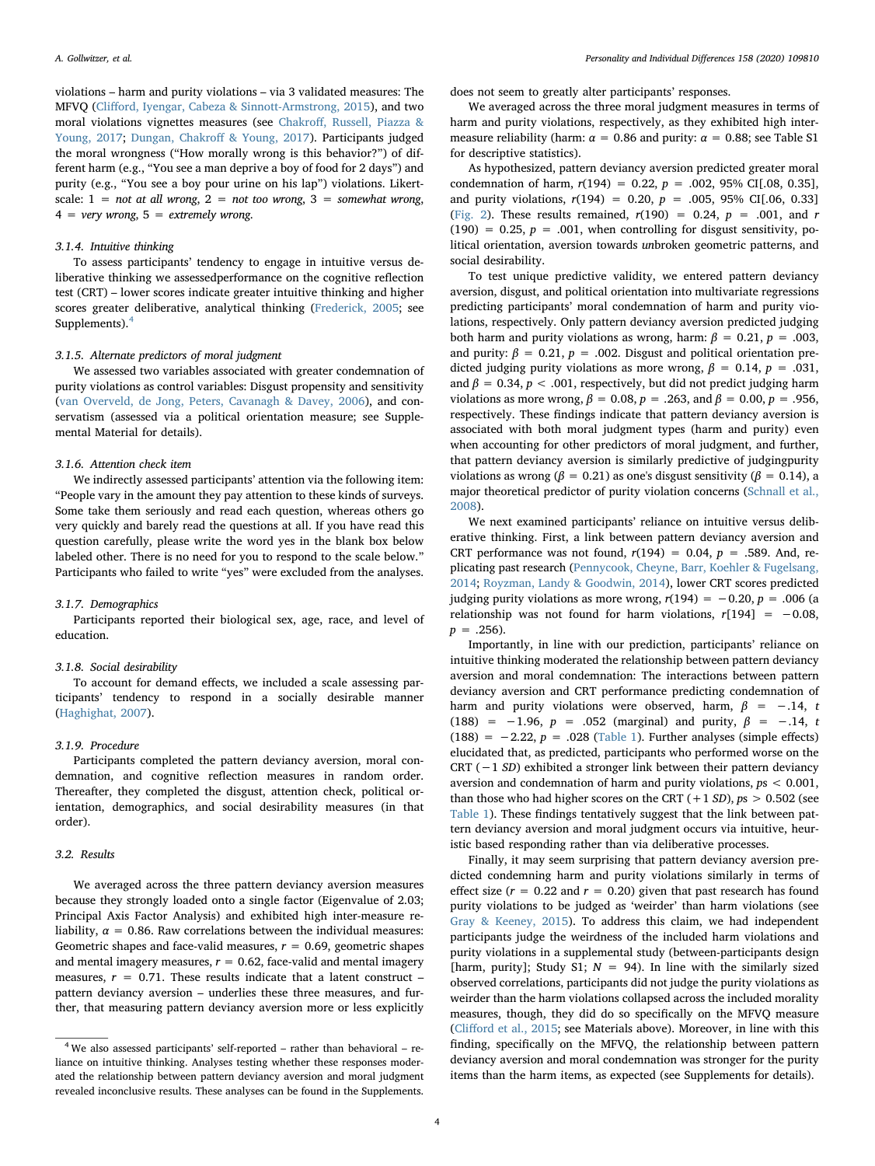violations – harm and purity violations – via 3 validated measures: The MFVQ (Cliff[ord, Iyengar, Cabeza & Sinnott-Armstrong, 2015](#page-8-16)), and two moral violations vignettes measures (see Chakroff[, Russell, Piazza &](#page-8-17) [Young, 2017;](#page-8-17) [Dungan, Chakro](#page-8-18)ff & Young, 2017). Participants judged the moral wrongness ("How morally wrong is this behavior?") of different harm (e.g., "You see a man deprive a boy of food for 2 days") and purity (e.g., "You see a boy pour urine on his lap") violations. Likertscale:  $1 = not at all wrong, 2 = not too wrong, 3 = somewhat wrong,$  $4 = very wrong, 5 = extremely wrong.$ 

## 3.1.4. Intuitive thinking

To assess participants' tendency to engage in intuitive versus deliberative thinking we assessedperformance on the cognitive reflection test (CRT) – lower scores indicate greater intuitive thinking and higher scores greater deliberative, analytical thinking [\(Frederick, 2005;](#page-8-19) see Supplements).<sup>[4](#page-3-0)</sup>

#### 3.1.5. Alternate predictors of moral judgment

We assessed two variables associated with greater condemnation of purity violations as control variables: Disgust propensity and sensitivity ([van Overveld, de Jong, Peters, Cavanagh & Davey, 2006](#page-9-45)), and conservatism (assessed via a political orientation measure; see Supplemental Material for details).

#### 3.1.6. Attention check item

We indirectly assessed participants' attention via the following item: "People vary in the amount they pay attention to these kinds of surveys. Some take them seriously and read each question, whereas others go very quickly and barely read the questions at all. If you have read this question carefully, please write the word yes in the blank box below labeled other. There is no need for you to respond to the scale below." Participants who failed to write "yes" were excluded from the analyses.

## 3.1.7. Demographics

Participants reported their biological sex, age, race, and level of education.

#### 3.1.8. Social desirability

To account for demand effects, we included a scale assessing participants' tendency to respond in a socially desirable manner ([Haghighat, 2007](#page-9-46)).

## 3.1.9. Procedure

Participants completed the pattern deviancy aversion, moral condemnation, and cognitive reflection measures in random order. Thereafter, they completed the disgust, attention check, political orientation, demographics, and social desirability measures (in that order).

## 3.2. Results

We averaged across the three pattern deviancy aversion measures because they strongly loaded onto a single factor (Eigenvalue of 2.03; Principal Axis Factor Analysis) and exhibited high inter-measure reliability,  $\alpha = 0.86$ . Raw correlations between the individual measures: Geometric shapes and face-valid measures,  $r = 0.69$ , geometric shapes and mental imagery measures,  $r = 0.62$ , face-valid and mental imagery measures,  $r = 0.71$ . These results indicate that a latent construct – pattern deviancy aversion – underlies these three measures, and further, that measuring pattern deviancy aversion more or less explicitly

does not seem to greatly alter participants' responses.

We averaged across the three moral judgment measures in terms of harm and purity violations, respectively, as they exhibited high intermeasure reliability (harm:  $\alpha = 0.86$  and purity:  $\alpha = 0.88$ ; see Table S1 for descriptive statistics).

As hypothesized, pattern deviancy aversion predicted greater moral condemnation of harm,  $r(194) = 0.22$ ,  $p = .002$ , 95% CI[.08, 0.35], and purity violations,  $r(194) = 0.20$ ,  $p = .005$ , 95% CI[.06, 0.33] ([Fig. 2\)](#page-4-0). These results remained,  $r(190) = 0.24$ ,  $p = .001$ , and r  $(190) = 0.25$ ,  $p = .001$ , when controlling for disgust sensitivity, political orientation, aversion towards unbroken geometric patterns, and social desirability.

To test unique predictive validity, we entered pattern deviancy aversion, disgust, and political orientation into multivariate regressions predicting participants' moral condemnation of harm and purity violations, respectively. Only pattern deviancy aversion predicted judging both harm and purity violations as wrong, harm:  $\beta = 0.21$ ,  $p = .003$ , and purity:  $\beta = 0.21$ ,  $p = .002$ . Disgust and political orientation predicted judging purity violations as more wrong,  $\beta = 0.14$ ,  $p = .031$ , and  $\beta = 0.34$ ,  $p < .001$ , respectively, but did not predict judging harm violations as more wrong,  $β = 0.08$ ,  $p = .263$ , and  $β = 0.00$ ,  $p = .956$ , respectively. These findings indicate that pattern deviancy aversion is associated with both moral judgment types (harm and purity) even when accounting for other predictors of moral judgment, and further, that pattern deviancy aversion is similarly predictive of judgingpurity violations as wrong ( $β = 0.21$ ) as one's disgust sensitivity ( $β = 0.14$ ), a major theoretical predictor of purity violation concerns [\(Schnall et al.,](#page-9-42) [2008\)](#page-9-42).

We next examined participants' reliance on intuitive versus deliberative thinking. First, a link between pattern deviancy aversion and CRT performance was not found,  $r(194) = 0.04$ ,  $p = .589$ . And, replicating past research ([Pennycook, Cheyne, Barr, Koehler & Fugelsang,](#page-9-47) [2014;](#page-9-47) [Royzman, Landy & Goodwin, 2014](#page-9-48)), lower CRT scores predicted judging purity violations as more wrong,  $r(194) = -0.20$ ,  $p = .006$  (a relationship was not found for harm violations,  $r[194] = -0.08$ ,  $p = .256$ ).

Importantly, in line with our prediction, participants' reliance on intuitive thinking moderated the relationship between pattern deviancy aversion and moral condemnation: The interactions between pattern deviancy aversion and CRT performance predicting condemnation of harm and purity violations were observed, harm,  $\beta = -0.14$ , t (188) =  $-1.96$ ,  $p = .052$  (marginal) and purity,  $\beta = -.14$ , t (188) =  $-2.22$ ,  $p = .028$  [\(Table 1\)](#page-4-1). Further analyses (simple effects) elucidated that, as predicted, participants who performed worse on the CRT (−1 SD) exhibited a stronger link between their pattern deviancy aversion and condemnation of harm and purity violations, ps < 0.001, than those who had higher scores on the CRT  $(+1 SD)$ ,  $ps > 0.502$  (see [Table 1](#page-4-1)). These findings tentatively suggest that the link between pattern deviancy aversion and moral judgment occurs via intuitive, heuristic based responding rather than via deliberative processes.

Finally, it may seem surprising that pattern deviancy aversion predicted condemning harm and purity violations similarly in terms of effect size ( $r = 0.22$  and  $r = 0.20$ ) given that past research has found purity violations to be judged as 'weirder' than harm violations (see [Gray & Keeney, 2015\)](#page-9-26). To address this claim, we had independent participants judge the weirdness of the included harm violations and purity violations in a supplemental study (between-participants design [harm, purity]; Study S1;  $N = 94$ ]. In line with the similarly sized observed correlations, participants did not judge the purity violations as weirder than the harm violations collapsed across the included morality measures, though, they did do so specifically on the MFVQ measure (Cliff[ord et al., 2015;](#page-8-16) see Materials above). Moreover, in line with this finding, specifically on the MFVQ, the relationship between pattern deviancy aversion and moral condemnation was stronger for the purity items than the harm items, as expected (see Supplements for details).

<span id="page-3-0"></span><sup>4</sup> We also assessed participants' self-reported – rather than behavioral – reliance on intuitive thinking. Analyses testing whether these responses moderated the relationship between pattern deviancy aversion and moral judgment revealed inconclusive results. These analyses can be found in the Supplements.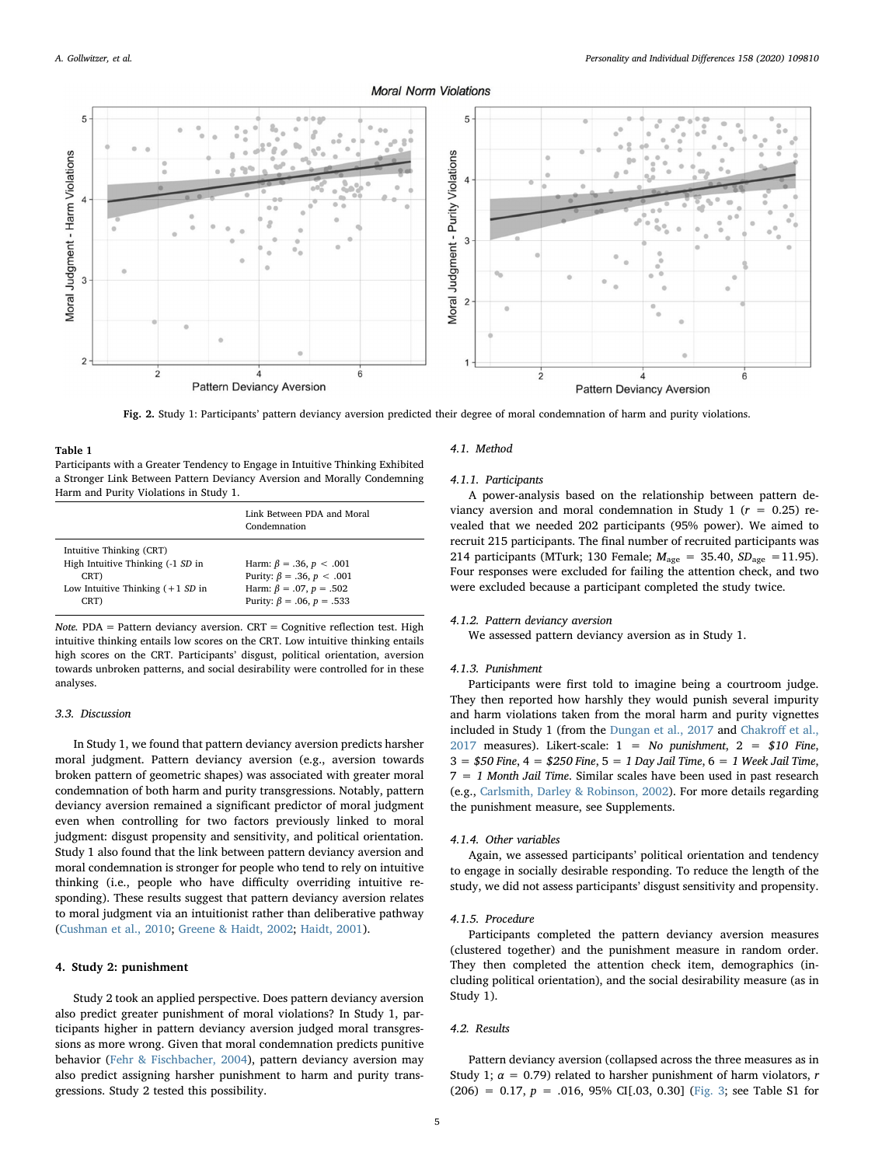## **Moral Norm Violations**

<span id="page-4-0"></span>

Fig. 2. Study 1: Participants' pattern deviancy aversion predicted their degree of moral condemnation of harm and purity violations.

<span id="page-4-1"></span>Table 1 Participants with a Greater Tendency to Engage in Intuitive Thinking Exhibited a Stronger Link Between Pattern Deviancy Aversion and Morally Condemning Harm and Purity Violations in Study 1.

|                                                                                                                       | Link Between PDA and Moral<br>Condemnation                                                                                        |
|-----------------------------------------------------------------------------------------------------------------------|-----------------------------------------------------------------------------------------------------------------------------------|
| Intuitive Thinking (CRT)<br>High Intuitive Thinking (-1 SD in<br>CRT)<br>Low Intuitive Thinking $(+1 S D)$ in<br>CRT) | Harm: $\beta = .36, p < .001$<br>Purity: β = .36, p < .001<br>Harm: $\beta = .07$ , $p = .502$<br>Purity: $\beta = .06, p = .533$ |

Note. PDA = Pattern deviancy aversion.  $CRT = C$ ognitive reflection test. High intuitive thinking entails low scores on the CRT. Low intuitive thinking entails high scores on the CRT. Participants' disgust, political orientation, aversion towards unbroken patterns, and social desirability were controlled for in these analyses.

#### 3.3. Discussion

In Study 1, we found that pattern deviancy aversion predicts harsher moral judgment. Pattern deviancy aversion (e.g., aversion towards broken pattern of geometric shapes) was associated with greater moral condemnation of both harm and purity transgressions. Notably, pattern deviancy aversion remained a significant predictor of moral judgment even when controlling for two factors previously linked to moral judgment: disgust propensity and sensitivity, and political orientation. Study 1 also found that the link between pattern deviancy aversion and moral condemnation is stronger for people who tend to rely on intuitive thinking (i.e., people who have difficulty overriding intuitive responding). These results suggest that pattern deviancy aversion relates to moral judgment via an intuitionist rather than deliberative pathway ([Cushman et al., 2010;](#page-8-10) [Greene & Haidt, 2002;](#page-9-22) [Haidt, 2001](#page-9-23)).

## 4. Study 2: punishment

Study 2 took an applied perspective. Does pattern deviancy aversion also predict greater punishment of moral violations? In Study 1, participants higher in pattern deviancy aversion judged moral transgressions as more wrong. Given that moral condemnation predicts punitive behavior ([Fehr & Fischbacher, 2004](#page-8-8)), pattern deviancy aversion may also predict assigning harsher punishment to harm and purity transgressions. Study 2 tested this possibility.

#### 4.1. Method

#### 4.1.1. Participants

A power-analysis based on the relationship between pattern deviancy aversion and moral condemnation in Study 1 ( $r = 0.25$ ) revealed that we needed 202 participants (95% power). We aimed to recruit 215 participants. The final number of recruited participants was 214 participants (MTurk; 130 Female;  $M_{\text{age}} = 35.40$ ,  $SD_{\text{age}} = 11.95$ ). Four responses were excluded for failing the attention check, and two were excluded because a participant completed the study twice.

## 4.1.2. Pattern deviancy aversion

We assessed pattern deviancy aversion as in Study 1.

#### 4.1.3. Punishment

Participants were first told to imagine being a courtroom judge. They then reported how harshly they would punish several impurity and harm violations taken from the moral harm and purity vignettes included in Study 1 (from the [Dungan et al., 2017](#page-8-18) and [Chakro](#page-8-17)ff et al., [2017](#page-8-17) measures). Likert-scale:  $1 = No$  punishment,  $2 = $10$  Fine,  $3 = $50$  Fine,  $4 = $250$  Fine,  $5 = 1$  Day Jail Time,  $6 = 1$  Week Jail Time,  $7 = 1$  Month Jail Time. Similar scales have been used in past research (e.g., [Carlsmith, Darley & Robinson, 2002](#page-8-20)). For more details regarding the punishment measure, see Supplements.

#### 4.1.4. Other variables

Again, we assessed participants' political orientation and tendency to engage in socially desirable responding. To reduce the length of the study, we did not assess participants' disgust sensitivity and propensity.

#### 4.1.5. Procedure

Participants completed the pattern deviancy aversion measures (clustered together) and the punishment measure in random order. They then completed the attention check item, demographics (including political orientation), and the social desirability measure (as in Study 1).

#### 4.2. Results

Pattern deviancy aversion (collapsed across the three measures as in Study 1;  $\alpha = 0.79$ ) related to harsher punishment of harm violators, r  $(206) = 0.17$ ,  $p = .016$ , 95% CI[.03, 0.30] ([Fig. 3;](#page-5-0) see Table S1 for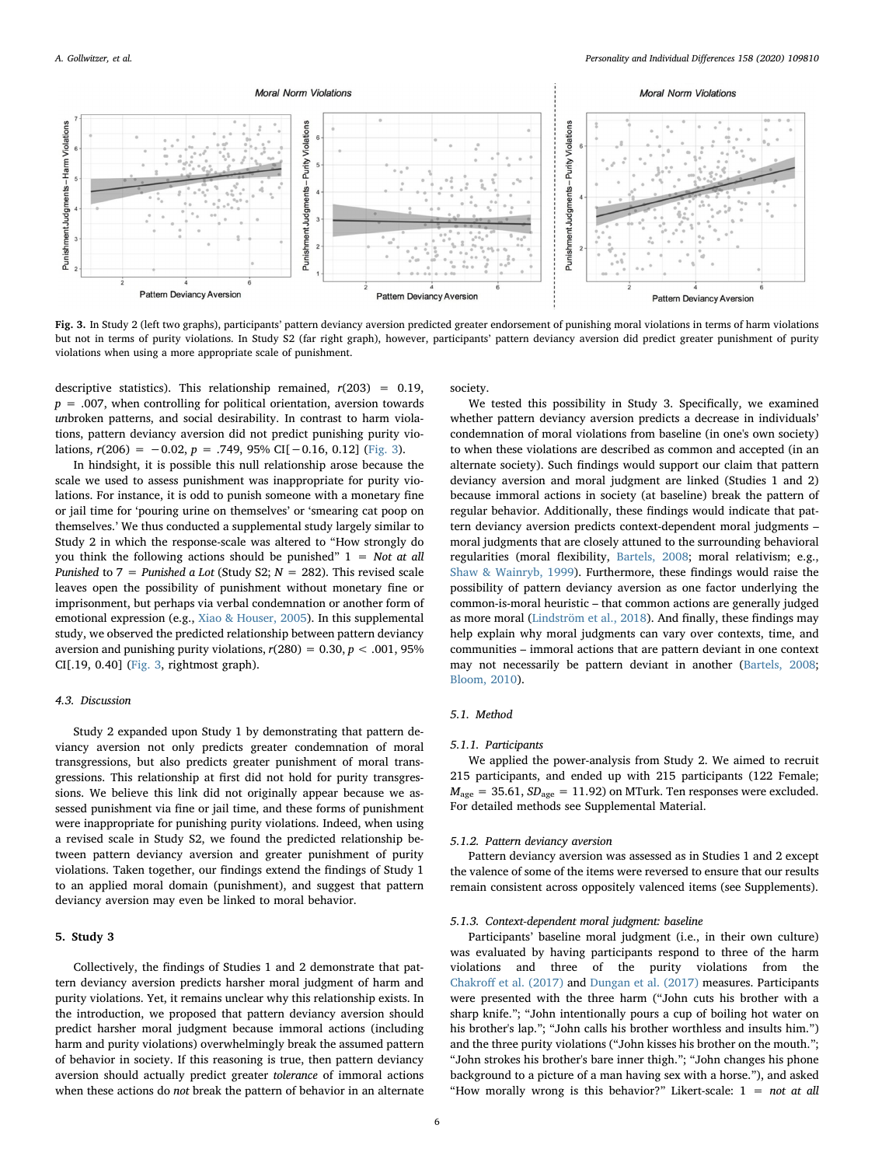<span id="page-5-0"></span>

Fig. 3. In Study 2 (left two graphs), participants' pattern deviancy aversion predicted greater endorsement of punishing moral violations in terms of harm violations but not in terms of purity violations. In Study S2 (far right graph), however, participants' pattern deviancy aversion did predict greater punishment of purity violations when using a more appropriate scale of punishment.

descriptive statistics). This relationship remained,  $r(203) = 0.19$ ,  $p = .007$ , when controlling for political orientation, aversion towards unbroken patterns, and social desirability. In contrast to harm violations, pattern deviancy aversion did not predict punishing purity violations,  $r(206) = -0.02$ ,  $p = .749$ , 95% CI[−0.16, 0.12] ([Fig. 3](#page-5-0)).

In hindsight, it is possible this null relationship arose because the scale we used to assess punishment was inappropriate for purity violations. For instance, it is odd to punish someone with a monetary fine or jail time for 'pouring urine on themselves' or 'smearing cat poop on themselves.' We thus conducted a supplemental study largely similar to Study 2 in which the response-scale was altered to "How strongly do you think the following actions should be punished"  $1 = Not at all$ Punished to 7 = Punished a Lot (Study S2;  $N = 282$ ). This revised scale leaves open the possibility of punishment without monetary fine or imprisonment, but perhaps via verbal condemnation or another form of emotional expression (e.g., [Xiao & Houser, 2005\)](#page-9-49). In this supplemental study, we observed the predicted relationship between pattern deviancy aversion and punishing purity violations,  $r(280) = 0.30, p < .001, 95\%$ CI[.19, 0.40] [\(Fig. 3,](#page-5-0) rightmost graph).

## 4.3. Discussion

Study 2 expanded upon Study 1 by demonstrating that pattern deviancy aversion not only predicts greater condemnation of moral transgressions, but also predicts greater punishment of moral transgressions. This relationship at first did not hold for purity transgressions. We believe this link did not originally appear because we assessed punishment via fine or jail time, and these forms of punishment were inappropriate for punishing purity violations. Indeed, when using a revised scale in Study S2, we found the predicted relationship between pattern deviancy aversion and greater punishment of purity violations. Taken together, our findings extend the findings of Study 1 to an applied moral domain (punishment), and suggest that pattern deviancy aversion may even be linked to moral behavior.

## 5. Study 3

Collectively, the findings of Studies 1 and 2 demonstrate that pattern deviancy aversion predicts harsher moral judgment of harm and purity violations. Yet, it remains unclear why this relationship exists. In the introduction, we proposed that pattern deviancy aversion should predict harsher moral judgment because immoral actions (including harm and purity violations) overwhelmingly break the assumed pattern of behavior in society. If this reasoning is true, then pattern deviancy aversion should actually predict greater tolerance of immoral actions when these actions do not break the pattern of behavior in an alternate society.

We tested this possibility in Study 3. Specifically, we examined whether pattern deviancy aversion predicts a decrease in individuals' condemnation of moral violations from baseline (in one's own society) to when these violations are described as common and accepted (in an alternate society). Such findings would support our claim that pattern deviancy aversion and moral judgment are linked (Studies 1 and 2) because immoral actions in society (at baseline) break the pattern of regular behavior. Additionally, these findings would indicate that pattern deviancy aversion predicts context-dependent moral judgments – moral judgments that are closely attuned to the surrounding behavioral regularities (moral flexibility, [Bartels, 2008;](#page-8-21) moral relativism; e.g., [Shaw & Wainryb, 1999\)](#page-9-50). Furthermore, these findings would raise the possibility of pattern deviancy aversion as one factor underlying the common-is-moral heuristic – that common actions are generally judged as more moral [\(Lindström et al., 2018](#page-9-37)). And finally, these findings may help explain why moral judgments can vary over contexts, time, and communities – immoral actions that are pattern deviant in one context may not necessarily be pattern deviant in another [\(Bartels, 2008](#page-8-21); [Bloom, 2010](#page-8-9)).

## 5.1. Method

#### 5.1.1. Participants

We applied the power-analysis from Study 2. We aimed to recruit 215 participants, and ended up with 215 participants (122 Female;  $M_{\text{age}} = 35.61, SD_{\text{age}} = 11.92$ ) on MTurk. Ten responses were excluded. For detailed methods see Supplemental Material.

## 5.1.2. Pattern deviancy aversion

Pattern deviancy aversion was assessed as in Studies 1 and 2 except the valence of some of the items were reversed to ensure that our results remain consistent across oppositely valenced items (see Supplements).

#### 5.1.3. Context-dependent moral judgment: baseline

Participants' baseline moral judgment (i.e., in their own culture) was evaluated by having participants respond to three of the harm violations and three of the purity violations from the Chakroff [et al. \(2017\)](#page-8-17) and [Dungan et al. \(2017\)](#page-8-18) measures. Participants were presented with the three harm ("John cuts his brother with a sharp knife."; "John intentionally pours a cup of boiling hot water on his brother's lap."; "John calls his brother worthless and insults him.") and the three purity violations ("John kisses his brother on the mouth."; "John strokes his brother's bare inner thigh."; "John changes his phone background to a picture of a man having sex with a horse."), and asked "How morally wrong is this behavior?" Likert-scale:  $1 = not at all$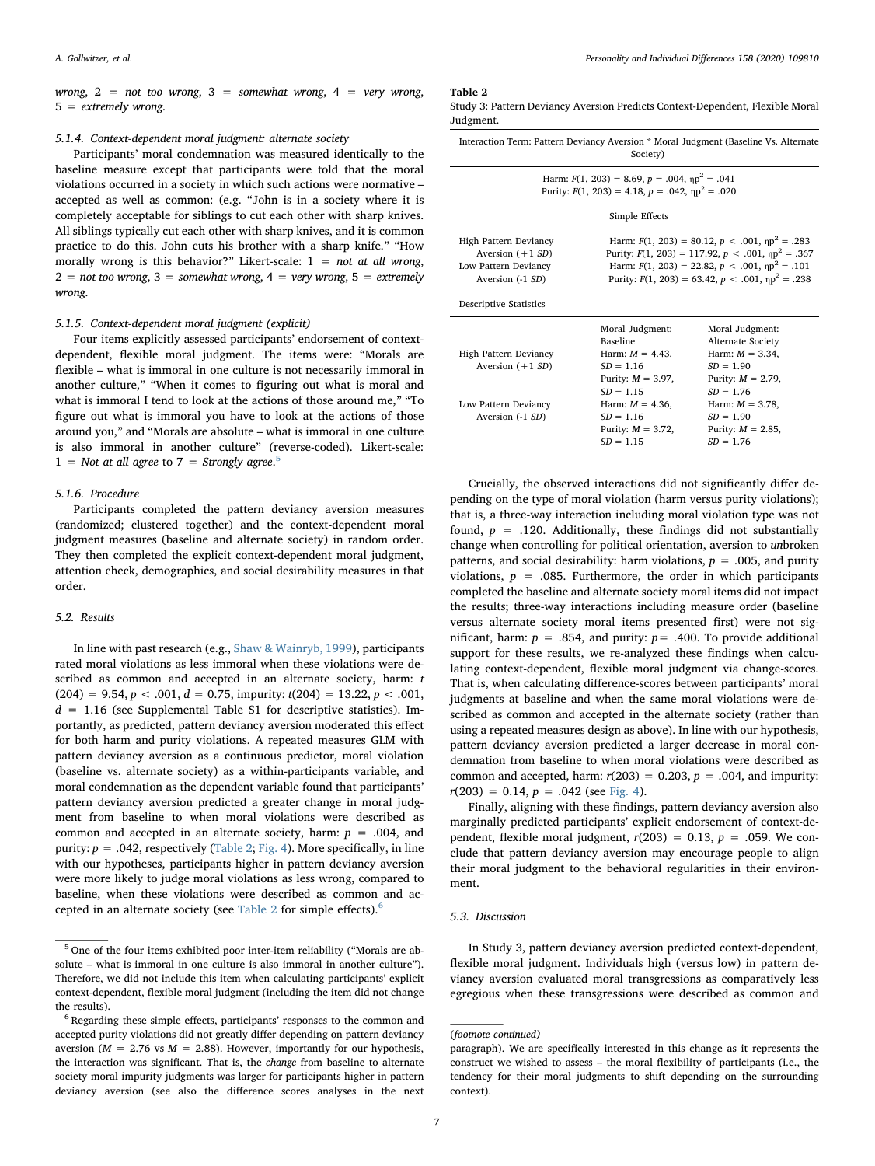wrong,  $2 = not too wrong, 3 = somewhat wrong, 4 = very wrong,$ 5 = extremely wrong.

## 5.1.4. Context-dependent moral judgment: alternate society

Participants' moral condemnation was measured identically to the baseline measure except that participants were told that the moral violations occurred in a society in which such actions were normative – accepted as well as common: (e.g. "John is in a society where it is completely acceptable for siblings to cut each other with sharp knives. All siblings typically cut each other with sharp knives, and it is common practice to do this. John cuts his brother with a sharp knife." "How morally wrong is this behavior?" Likert-scale:  $1 = not at all wrong$ ,  $2 =$  not too wrong,  $3 =$  somewhat wrong,  $4 =$  very wrong,  $5 =$  extremely wrong.

## 5.1.5. Context-dependent moral judgment (explicit)

Four items explicitly assessed participants' endorsement of contextdependent, flexible moral judgment. The items were: "Morals are flexible – what is immoral in one culture is not necessarily immoral in another culture," "When it comes to figuring out what is moral and what is immoral I tend to look at the actions of those around me," "To figure out what is immoral you have to look at the actions of those around you," and "Morals are absolute – what is immoral in one culture is also immoral in another culture" (reverse-coded). Likert-scale:  $1 =$  Not at all agree to  $7 =$  Strongly agree.<sup>[5](#page-6-0)</sup>

## 5.1.6. Procedure

Participants completed the pattern deviancy aversion measures (randomized; clustered together) and the context-dependent moral judgment measures (baseline and alternate society) in random order. They then completed the explicit context-dependent moral judgment, attention check, demographics, and social desirability measures in that order.

## 5.2. Results

In line with past research (e.g., [Shaw & Wainryb, 1999\)](#page-9-50), participants rated moral violations as less immoral when these violations were described as common and accepted in an alternate society, harm: t  $(204) = 9.54, p < .001, d = 0.75$ , impurity:  $t(204) = 13.22, p < .001$ ,  $d = 1.16$  (see Supplemental Table S1 for descriptive statistics). Importantly, as predicted, pattern deviancy aversion moderated this effect for both harm and purity violations. A repeated measures GLM with pattern deviancy aversion as a continuous predictor, moral violation (baseline vs. alternate society) as a within-participants variable, and moral condemnation as the dependent variable found that participants' pattern deviancy aversion predicted a greater change in moral judgment from baseline to when moral violations were described as common and accepted in an alternate society, harm:  $p = .004$ , and purity:  $p = .042$ , respectively ([Table 2;](#page-6-1) [Fig. 4\)](#page-7-0). More specifically, in line with our hypotheses, participants higher in pattern deviancy aversion were more likely to judge moral violations as less wrong, compared to baseline, when these violations were described as common and ac-cepted in an alternate society (see [Table 2](#page-6-1) for simple effects).<sup>[6](#page-6-2)</sup>

## <span id="page-6-1"></span>Table 2

| Study 3: Pattern Deviancy Aversion Predicts Context-Dependent, Flexible Moral |  |  |
|-------------------------------------------------------------------------------|--|--|
| Judgment.                                                                     |  |  |

| Interaction Term: Pattern Deviancy Aversion * Moral Judgment (Baseline Vs. Alternate<br>Society)                 |                                                                                                                                                                                                                                           |                                                                                                                                                                                              |  |
|------------------------------------------------------------------------------------------------------------------|-------------------------------------------------------------------------------------------------------------------------------------------------------------------------------------------------------------------------------------------|----------------------------------------------------------------------------------------------------------------------------------------------------------------------------------------------|--|
| Harm: $F(1, 203) = 8.69$ , $p = .004$ , $np^2 = .041$<br>Purity: $F(1, 203) = 4.18$ , $p = .042$ , $np^2 = .020$ |                                                                                                                                                                                                                                           |                                                                                                                                                                                              |  |
| Simple Effects                                                                                                   |                                                                                                                                                                                                                                           |                                                                                                                                                                                              |  |
| High Pattern Deviancy<br>Aversion $(+1 SD)$<br>Low Pattern Deviancy<br>Aversion (-1 SD)                          | Harm: $F(1, 203) = 80.12$ , $p < .001$ , $np^2 = .283$<br>Purity: $F(1, 203) = 117.92$ , $p < .001$ , $np^2 = .367$<br>Harm: $F(1, 203) = 22.82$ , $p < .001$ , $np^2 = .101$<br>Purity: $F(1, 203) = 63.42$ , $p < .001$ , $np^2 = .238$ |                                                                                                                                                                                              |  |
| <b>Descriptive Statistics</b>                                                                                    |                                                                                                                                                                                                                                           |                                                                                                                                                                                              |  |
| High Pattern Deviancy<br>Aversion $(+1 SD)$<br>Low Pattern Deviancy<br>Aversion (-1 SD)                          | Moral Judgment:<br><b>Baseline</b><br>Harm: $M = 4.43$ ,<br>$SD = 1.16$<br>Purity: $M = 3.97$ ,<br>$SD = 1.15$<br>Harm: $M = 4.36$ .<br>$SD = 1.16$<br>Purity: $M = 3.72$ ,<br>$SD = 1.15$                                                | Moral Judgment:<br>Alternate Society<br>Harm: $M = 3.34$ ,<br>$SD = 1.90$<br>Purity: $M = 2.79$ ,<br>$SD = 1.76$<br>Harm: $M = 3.78$ .<br>$SD = 1.90$<br>Purity: $M = 2.85$ ,<br>$SD = 1.76$ |  |

Crucially, the observed interactions did not significantly differ depending on the type of moral violation (harm versus purity violations); that is, a three-way interaction including moral violation type was not found,  $p = .120$ . Additionally, these findings did not substantially change when controlling for political orientation, aversion to unbroken patterns, and social desirability: harm violations,  $p = .005$ , and purity violations,  $p = .085$ . Furthermore, the order in which participants completed the baseline and alternate society moral items did not impact the results; three-way interactions including measure order (baseline versus alternate society moral items presented first) were not significant, harm:  $p = .854$ , and purity:  $p = .400$ . To provide additional support for these results, we re-analyzed these findings when calculating context-dependent, flexible moral judgment via change-scores. That is, when calculating difference-scores between participants' moral judgments at baseline and when the same moral violations were described as common and accepted in the alternate society (rather than using a repeated measures design as above). In line with our hypothesis, pattern deviancy aversion predicted a larger decrease in moral condemnation from baseline to when moral violations were described as common and accepted, harm:  $r(203) = 0.203$ ,  $p = .004$ , and impurity:  $r(203) = 0.14$ ,  $p = .042$  (see [Fig. 4](#page-7-0)).

Finally, aligning with these findings, pattern deviancy aversion also marginally predicted participants' explicit endorsement of context-dependent, flexible moral judgment,  $r(203) = 0.13$ ,  $p = .059$ . We conclude that pattern deviancy aversion may encourage people to align their moral judgment to the behavioral regularities in their environment.

## 5.3. Discussion

In Study 3, pattern deviancy aversion predicted context-dependent, flexible moral judgment. Individuals high (versus low) in pattern deviancy aversion evaluated moral transgressions as comparatively less egregious when these transgressions were described as common and

<span id="page-6-0"></span><sup>5</sup> One of the four items exhibited poor inter-item reliability ("Morals are absolute – what is immoral in one culture is also immoral in another culture"). Therefore, we did not include this item when calculating participants' explicit context-dependent, flexible moral judgment (including the item did not change the results).

<span id="page-6-2"></span><sup>&</sup>lt;sup>6</sup> Regarding these simple effects, participants' responses to the common and accepted purity violations did not greatly differ depending on pattern deviancy aversion ( $M = 2.76$  vs  $M = 2.88$ ). However, importantly for our hypothesis, the interaction was significant. That is, the change from baseline to alternate society moral impurity judgments was larger for participants higher in pattern deviancy aversion (see also the difference scores analyses in the next

<sup>(</sup>footnote continued)

paragraph). We are specifically interested in this change as it represents the construct we wished to assess – the moral flexibility of participants (i.e., the tendency for their moral judgments to shift depending on the surrounding context).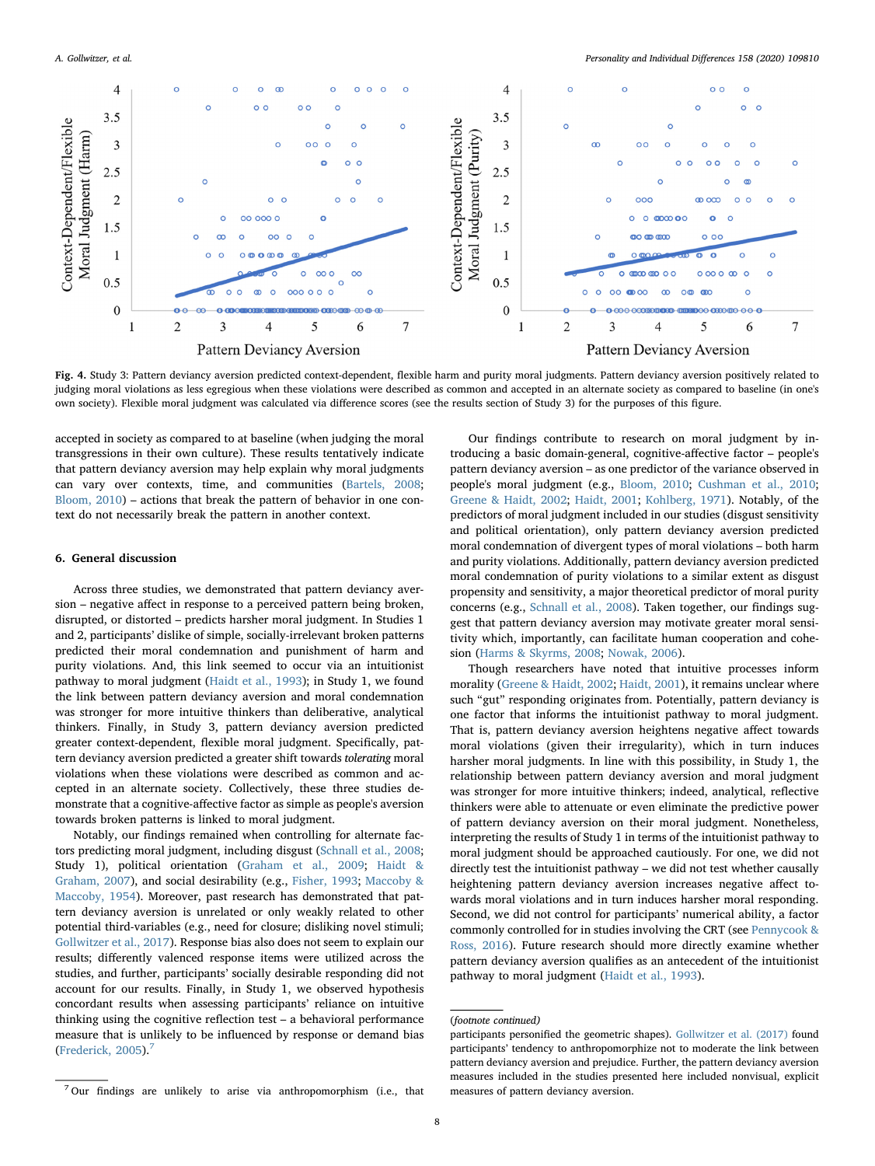<span id="page-7-0"></span>

Fig. 4. Study 3: Pattern deviancy aversion predicted context-dependent, flexible harm and purity moral judgments. Pattern deviancy aversion positively related to judging moral violations as less egregious when these violations were described as common and accepted in an alternate society as compared to baseline (in one's own society). Flexible moral judgment was calculated via difference scores (see the results section of Study 3) for the purposes of this figure.

accepted in society as compared to at baseline (when judging the moral transgressions in their own culture). These results tentatively indicate that pattern deviancy aversion may help explain why moral judgments can vary over contexts, time, and communities ([Bartels, 2008](#page-8-21); [Bloom, 2010](#page-8-9)) – actions that break the pattern of behavior in one context do not necessarily break the pattern in another context.

#### 6. General discussion

Across three studies, we demonstrated that pattern deviancy aversion – negative affect in response to a perceived pattern being broken, disrupted, or distorted – predicts harsher moral judgment. In Studies 1 and 2, participants' dislike of simple, socially-irrelevant broken patterns predicted their moral condemnation and punishment of harm and purity violations. And, this link seemed to occur via an intuitionist pathway to moral judgment ([Haidt et al., 1993\)](#page-9-33); in Study 1, we found the link between pattern deviancy aversion and moral condemnation was stronger for more intuitive thinkers than deliberative, analytical thinkers. Finally, in Study 3, pattern deviancy aversion predicted greater context-dependent, flexible moral judgment. Specifically, pattern deviancy aversion predicted a greater shift towards tolerating moral violations when these violations were described as common and accepted in an alternate society. Collectively, these three studies demonstrate that a cognitive-affective factor as simple as people's aversion towards broken patterns is linked to moral judgment.

Notably, our findings remained when controlling for alternate factors predicting moral judgment, including disgust [\(Schnall et al., 2008](#page-9-42); Study 1), political orientation ([Graham et al., 2009](#page-9-43); [Haidt &](#page-9-39) [Graham, 2007\)](#page-9-39), and social desirability (e.g., [Fisher, 1993;](#page-8-15) [Maccoby &](#page-9-44) [Maccoby, 1954\)](#page-9-44). Moreover, past research has demonstrated that pattern deviancy aversion is unrelated or only weakly related to other potential third-variables (e.g., need for closure; disliking novel stimuli; [Gollwitzer et al., 2017](#page-8-0)). Response bias also does not seem to explain our results; differently valenced response items were utilized across the studies, and further, participants' socially desirable responding did not account for our results. Finally, in Study 1, we observed hypothesis concordant results when assessing participants' reliance on intuitive thinking using the cognitive reflection test – a behavioral performance measure that is unlikely to be influenced by response or demand bias ([Frederick, 2005\)](#page-8-19).[7](#page-7-1)

Our findings contribute to research on moral judgment by introducing a basic domain-general, cognitive-affective factor – people's pattern deviancy aversion – as one predictor of the variance observed in people's moral judgment (e.g., [Bloom, 2010](#page-8-9); [Cushman et al., 2010](#page-8-10); [Greene & Haidt, 2002](#page-9-22); [Haidt, 2001](#page-9-23); [Kohlberg, 1971\)](#page-9-21). Notably, of the predictors of moral judgment included in our studies (disgust sensitivity and political orientation), only pattern deviancy aversion predicted moral condemnation of divergent types of moral violations – both harm and purity violations. Additionally, pattern deviancy aversion predicted moral condemnation of purity violations to a similar extent as disgust propensity and sensitivity, a major theoretical predictor of moral purity concerns (e.g., [Schnall et al., 2008\)](#page-9-42). Taken together, our findings suggest that pattern deviancy aversion may motivate greater moral sensitivity which, importantly, can facilitate human cooperation and cohesion ([Harms & Skyrms, 2008](#page-9-18); [Nowak, 2006\)](#page-9-19).

Though researchers have noted that intuitive processes inform morality ([Greene & Haidt, 2002;](#page-9-22) [Haidt, 2001\)](#page-9-23), it remains unclear where such "gut" responding originates from. Potentially, pattern deviancy is one factor that informs the intuitionist pathway to moral judgment. That is, pattern deviancy aversion heightens negative affect towards moral violations (given their irregularity), which in turn induces harsher moral judgments. In line with this possibility, in Study 1, the relationship between pattern deviancy aversion and moral judgment was stronger for more intuitive thinkers; indeed, analytical, reflective thinkers were able to attenuate or even eliminate the predictive power of pattern deviancy aversion on their moral judgment. Nonetheless, interpreting the results of Study 1 in terms of the intuitionist pathway to moral judgment should be approached cautiously. For one, we did not directly test the intuitionist pathway – we did not test whether causally heightening pattern deviancy aversion increases negative affect towards moral violations and in turn induces harsher moral responding. Second, we did not control for participants' numerical ability, a factor commonly controlled for in studies involving the CRT (see [Pennycook &](#page-9-51) [Ross, 2016](#page-9-51)). Future research should more directly examine whether pattern deviancy aversion qualifies as an antecedent of the intuitionist pathway to moral judgment ([Haidt et al., 1993\)](#page-9-33).

<sup>(</sup>footnote continued)

participants personified the geometric shapes). [Gollwitzer et al. \(2017\)](#page-8-0) found participants' tendency to anthropomorphize not to moderate the link between pattern deviancy aversion and prejudice. Further, the pattern deviancy aversion measures included in the studies presented here included nonvisual, explicit measures of pattern deviancy aversion.

<span id="page-7-1"></span> $^7\!\!$  Our findings are unlikely to arise via anthropomorphism (i.e., that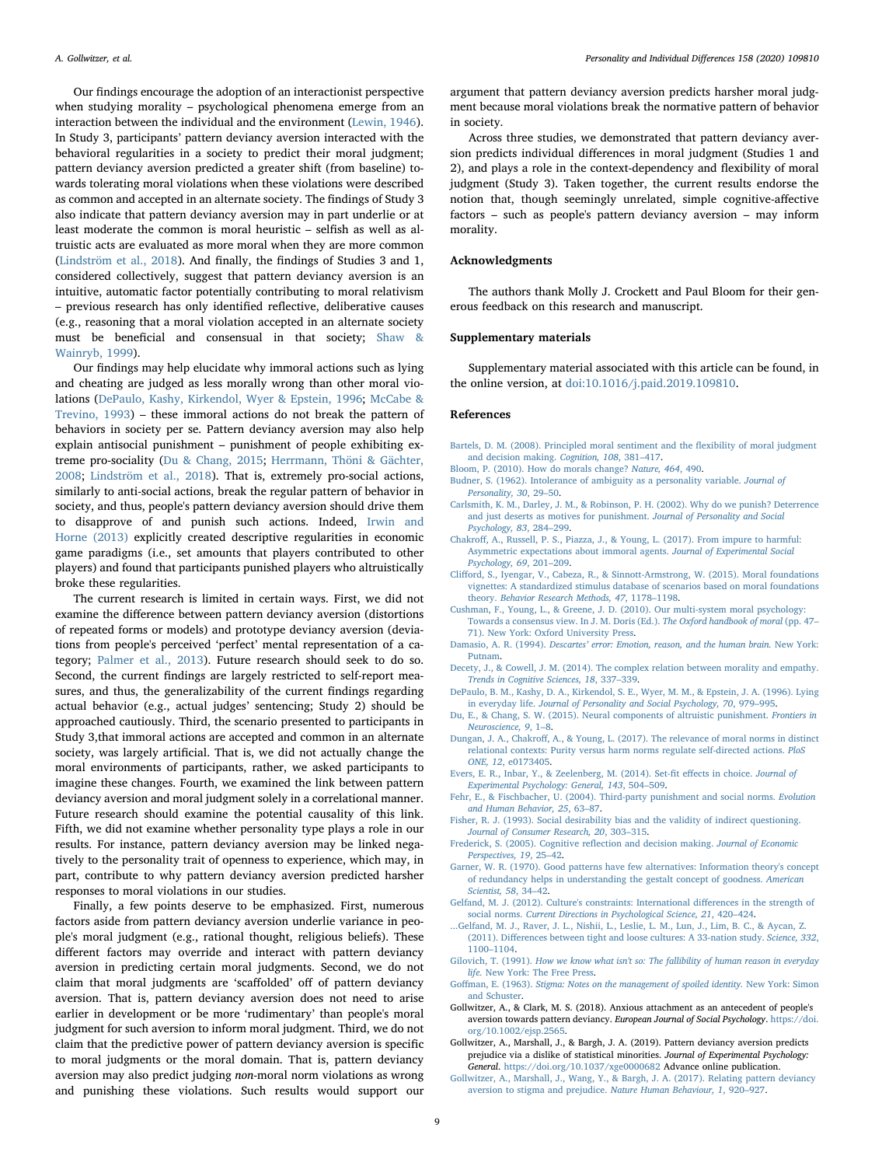Our findings encourage the adoption of an interactionist perspective when studying morality – psychological phenomena emerge from an interaction between the individual and the environment ([Lewin, 1946](#page-9-10)). In Study 3, participants' pattern deviancy aversion interacted with the behavioral regularities in a society to predict their moral judgment; pattern deviancy aversion predicted a greater shift (from baseline) towards tolerating moral violations when these violations were described as common and accepted in an alternate society. The findings of Study 3 also indicate that pattern deviancy aversion may in part underlie or at least moderate the common is moral heuristic – selfish as well as altruistic acts are evaluated as more moral when they are more common ([Lindström et al., 2018\)](#page-9-37). And finally, the findings of Studies 3 and 1, considered collectively, suggest that pattern deviancy aversion is an intuitive, automatic factor potentially contributing to moral relativism – previous research has only identified reflective, deliberative causes (e.g., reasoning that a moral violation accepted in an alternate society must be beneficial and consensual in that society; [Shaw &](#page-9-50) [Wainryb, 1999\)](#page-9-50).

Our findings may help elucidate why immoral actions such as lying and cheating are judged as less morally wrong than other moral violations [\(DePaulo, Kashy, Kirkendol, Wyer & Epstein, 1996;](#page-8-22) [McCabe &](#page-9-52) [Trevino, 1993\)](#page-9-52) – these immoral actions do not break the pattern of behaviors in society per se. Pattern deviancy aversion may also help explain antisocial punishment – punishment of people exhibiting extreme pro-sociality [\(Du & Chang, 2015](#page-8-23); [Herrmann, Thöni & Gächter,](#page-9-53) [2008;](#page-9-53) [Lindström et al., 2018](#page-9-37)). That is, extremely pro-social actions, similarly to anti-social actions, break the regular pattern of behavior in society, and thus, people's pattern deviancy aversion should drive them to disapprove of and punish such actions. Indeed, [Irwin and](#page-9-54) [Horne \(2013\)](#page-9-54) explicitly created descriptive regularities in economic game paradigms (i.e., set amounts that players contributed to other players) and found that participants punished players who altruistically broke these regularities.

The current research is limited in certain ways. First, we did not examine the difference between pattern deviancy aversion (distortions of repeated forms or models) and prototype deviancy aversion (deviations from people's perceived 'perfect' mental representation of a category; [Palmer et al., 2013\)](#page-9-0). Future research should seek to do so. Second, the current findings are largely restricted to self-report measures, and thus, the generalizability of the current findings regarding actual behavior (e.g., actual judges' sentencing; Study 2) should be approached cautiously. Third, the scenario presented to participants in Study 3,that immoral actions are accepted and common in an alternate society, was largely artificial. That is, we did not actually change the moral environments of participants, rather, we asked participants to imagine these changes. Fourth, we examined the link between pattern deviancy aversion and moral judgment solely in a correlational manner. Future research should examine the potential causality of this link. Fifth, we did not examine whether personality type plays a role in our results. For instance, pattern deviancy aversion may be linked negatively to the personality trait of openness to experience, which may, in part, contribute to why pattern deviancy aversion predicted harsher responses to moral violations in our studies.

Finally, a few points deserve to be emphasized. First, numerous factors aside from pattern deviancy aversion underlie variance in people's moral judgment (e.g., rational thought, religious beliefs). These different factors may override and interact with pattern deviancy aversion in predicting certain moral judgments. Second, we do not claim that moral judgments are 'scaffolded' off of pattern deviancy aversion. That is, pattern deviancy aversion does not need to arise earlier in development or be more 'rudimentary' than people's moral judgment for such aversion to inform moral judgment. Third, we do not claim that the predictive power of pattern deviancy aversion is specific to moral judgments or the moral domain. That is, pattern deviancy aversion may also predict judging non-moral norm violations as wrong and punishing these violations. Such results would support our

argument that pattern deviancy aversion predicts harsher moral judgment because moral violations break the normative pattern of behavior in society.

Across three studies, we demonstrated that pattern deviancy aversion predicts individual differences in moral judgment (Studies 1 and 2), and plays a role in the context-dependency and flexibility of moral judgment (Study 3). Taken together, the current results endorse the notion that, though seemingly unrelated, simple cognitive-affective factors – such as people's pattern deviancy aversion – may inform morality.

## Acknowledgments

The authors thank Molly J. Crockett and Paul Bloom for their generous feedback on this research and manuscript.

## Supplementary materials

Supplementary material associated with this article can be found, in the online version, at [doi:10.1016/j.paid.2019.109810.](https://doi.org/10.1016/j.paid.2019.109810)

#### References

- <span id="page-8-21"></span>[Bartels, D. M. \(2008\). Principled moral sentiment and the](http://refhub.elsevier.com/S0191-8869(19)30749-4/sbref0001) flexibility of moral judgment [and decision making.](http://refhub.elsevier.com/S0191-8869(19)30749-4/sbref0001) Cognition, 108, 381–417.
- <span id="page-8-9"></span>[Bloom, P. \(2010\). How do morals change?](http://refhub.elsevier.com/S0191-8869(19)30749-4/sbref0002) Nature, 464, 490.
- <span id="page-8-7"></span>[Budner, S. \(1962\). Intolerance of ambiguity as a personality variable.](http://refhub.elsevier.com/S0191-8869(19)30749-4/sbref0003) Journal of [Personality, 30](http://refhub.elsevier.com/S0191-8869(19)30749-4/sbref0003), 29–50.
- <span id="page-8-20"></span>[Carlsmith, K. M., Darley, J. M., & Robinson, P. H. \(2002\). Why do we punish? Deterrence](http://refhub.elsevier.com/S0191-8869(19)30749-4/sbref0004) [and just deserts as motives for punishment.](http://refhub.elsevier.com/S0191-8869(19)30749-4/sbref0004) Journal of Personality and Social [Psychology, 83](http://refhub.elsevier.com/S0191-8869(19)30749-4/sbref0004), 284–299.
- <span id="page-8-17"></span>Chakroff[, A., Russell, P. S., Piazza, J., & Young, L. \(2017\). From impure to harmful:](http://refhub.elsevier.com/S0191-8869(19)30749-4/sbref0005) [Asymmetric expectations about immoral agents.](http://refhub.elsevier.com/S0191-8869(19)30749-4/sbref0005) Journal of Experimental Social [Psychology, 69](http://refhub.elsevier.com/S0191-8869(19)30749-4/sbref0005), 201–209.
- <span id="page-8-16"></span>Cliff[ord, S., Iyengar, V., Cabeza, R., & Sinnott-Armstrong, W. \(2015\). Moral foundations](http://refhub.elsevier.com/S0191-8869(19)30749-4/sbref0006) [vignettes: A standardized stimulus database of scenarios based on moral foundations](http://refhub.elsevier.com/S0191-8869(19)30749-4/sbref0006) theory. [Behavior Research Methods, 47](http://refhub.elsevier.com/S0191-8869(19)30749-4/sbref0006), 1178–1198.
- <span id="page-8-10"></span>[Cushman, F., Young, L., & Greene, J. D. \(2010\). Our multi-system moral psychology:](http://refhub.elsevier.com/S0191-8869(19)30749-4/sbref0007) [Towards a consensus view. In J. M. Doris \(Ed.\).](http://refhub.elsevier.com/S0191-8869(19)30749-4/sbref0007) The Oxford handbook of moral (pp. 47– [71\). New York: Oxford University Press](http://refhub.elsevier.com/S0191-8869(19)30749-4/sbref0007).
- <span id="page-8-14"></span>Damasio, A. R. (1994). Descartes' [error: Emotion, reason, and the human brain.](http://refhub.elsevier.com/S0191-8869(19)30749-4/sbref0008) New York: [Putnam](http://refhub.elsevier.com/S0191-8869(19)30749-4/sbref0008).
- <span id="page-8-11"></span>[Decety, J., & Cowell, J. M. \(2014\). The complex relation between morality and empathy.](http://refhub.elsevier.com/S0191-8869(19)30749-4/sbref0009) [Trends in Cognitive Sciences, 18](http://refhub.elsevier.com/S0191-8869(19)30749-4/sbref0009), 337–339.
- <span id="page-8-22"></span>[DePaulo, B. M., Kashy, D. A., Kirkendol, S. E., Wyer, M. M., & Epstein, J. A. \(1996\). Lying](http://refhub.elsevier.com/S0191-8869(19)30749-4/sbref0010) in everyday life. [Journal of Personality and Social Psychology, 70](http://refhub.elsevier.com/S0191-8869(19)30749-4/sbref0010), 979–995.
- <span id="page-8-23"></span>[Du, E., & Chang, S. W. \(2015\). Neural components of altruistic punishment.](http://refhub.elsevier.com/S0191-8869(19)30749-4/sbref0011) Frontiers in [Neuroscience, 9](http://refhub.elsevier.com/S0191-8869(19)30749-4/sbref0011), 1–8.
- <span id="page-8-18"></span>Dungan, J. A., Chakroff[, A., & Young, L. \(2017\). The relevance of moral norms in distinct](http://refhub.elsevier.com/S0191-8869(19)30749-4/sbref0012) [relational contexts: Purity versus harm norms regulate self-directed actions.](http://refhub.elsevier.com/S0191-8869(19)30749-4/sbref0012) PloS ONE, 12[, e0173405](http://refhub.elsevier.com/S0191-8869(19)30749-4/sbref0012).
- <span id="page-8-3"></span>[Evers, E. R., Inbar, Y., & Zeelenberg, M. \(2014\). Set-](http://refhub.elsevier.com/S0191-8869(19)30749-4/sbref0013)fit effects in choice. Journal of [Experimental Psychology: General, 143](http://refhub.elsevier.com/S0191-8869(19)30749-4/sbref0013), 504–509.
- <span id="page-8-8"></span>[Fehr, E., & Fischbacher, U. \(2004\). Third-party punishment and social norms.](http://refhub.elsevier.com/S0191-8869(19)30749-4/sbref0014) Evolution and [Human Behavior, 25](http://refhub.elsevier.com/S0191-8869(19)30749-4/sbref0014), 63–87.
- <span id="page-8-15"></span>[Fisher, R. J. \(1993\). Social desirability bias and the validity of indirect questioning.](http://refhub.elsevier.com/S0191-8869(19)30749-4/sbref0015) [Journal of Consumer Research, 20](http://refhub.elsevier.com/S0191-8869(19)30749-4/sbref0015), 303–315.
- <span id="page-8-19"></span>[Frederick, S. \(2005\). Cognitive re](http://refhub.elsevier.com/S0191-8869(19)30749-4/sbref0016)flection and decision making. Journal of Economic [Perspectives, 19](http://refhub.elsevier.com/S0191-8869(19)30749-4/sbref0016), 25–42.
- <span id="page-8-2"></span>[Garner, W. R. \(1970\). Good patterns have few alternatives: Information theory's concept](http://refhub.elsevier.com/S0191-8869(19)30749-4/sbref0017) [of redundancy helps in understanding the gestalt concept of goodness.](http://refhub.elsevier.com/S0191-8869(19)30749-4/sbref0017) American [Scientist, 58](http://refhub.elsevier.com/S0191-8869(19)30749-4/sbref0017), 34–42.
- <span id="page-8-12"></span>[Gelfand, M. J. \(2012\). Culture's constraints: International di](http://refhub.elsevier.com/S0191-8869(19)30749-4/sbref0018)fferences in the strength of social norms. [Current Directions in Psychological Science, 21](http://refhub.elsevier.com/S0191-8869(19)30749-4/sbref0018), 420–424.
- <span id="page-8-13"></span>[...Gelfand, M. J., Raver, J. L., Nishii, L., Leslie, L. M., Lun, J., Lim, B. C., & Aycan, Z.](http://refhub.elsevier.com/S0191-8869(19)30749-4/sbref0019) (2011). Diff[erences between tight and loose cultures: A 33-nation study.](http://refhub.elsevier.com/S0191-8869(19)30749-4/sbref0019) Science, 332, 1100–[1104](http://refhub.elsevier.com/S0191-8869(19)30749-4/sbref0019).
- <span id="page-8-1"></span>Gilovich, T. (1991). [How we know what isn't so: The fallibility of human reason in everyday](http://refhub.elsevier.com/S0191-8869(19)30749-4/sbref0020) life. [New York: The Free Press](http://refhub.elsevier.com/S0191-8869(19)30749-4/sbref0020).
- <span id="page-8-6"></span>Goffman, E. (1963). [Stigma: Notes on the management of spoiled identity.](http://refhub.elsevier.com/S0191-8869(19)30749-4/sbref0021) New York: Simon [and Schuster](http://refhub.elsevier.com/S0191-8869(19)30749-4/sbref0021).
- <span id="page-8-4"></span>Gollwitzer, A., & Clark, M. S. (2018). Anxious attachment as an antecedent of people's aversion towards pattern deviancy. European Journal of Social Psychology. [https://doi.](https://doi.org/10.1002/ejsp.2565) [org/10.1002/ejsp.2565.](https://doi.org/10.1002/ejsp.2565)
- <span id="page-8-5"></span>Gollwitzer, A., Marshall, J., & Bargh, J. A. (2019). Pattern deviancy aversion predicts prejudice via a dislike of statistical minorities. Journal of Experimental Psychology: General. <https://doi.org/10.1037/xge0000682> Advance online publication.
- <span id="page-8-0"></span>[Gollwitzer, A., Marshall, J., Wang, Y., & Bargh, J. A. \(2017\). Relating pattern deviancy](http://refhub.elsevier.com/S0191-8869(19)30749-4/sbref0024) [aversion to stigma and prejudice.](http://refhub.elsevier.com/S0191-8869(19)30749-4/sbref0024) Nature Human Behaviour, 1, 920–927.